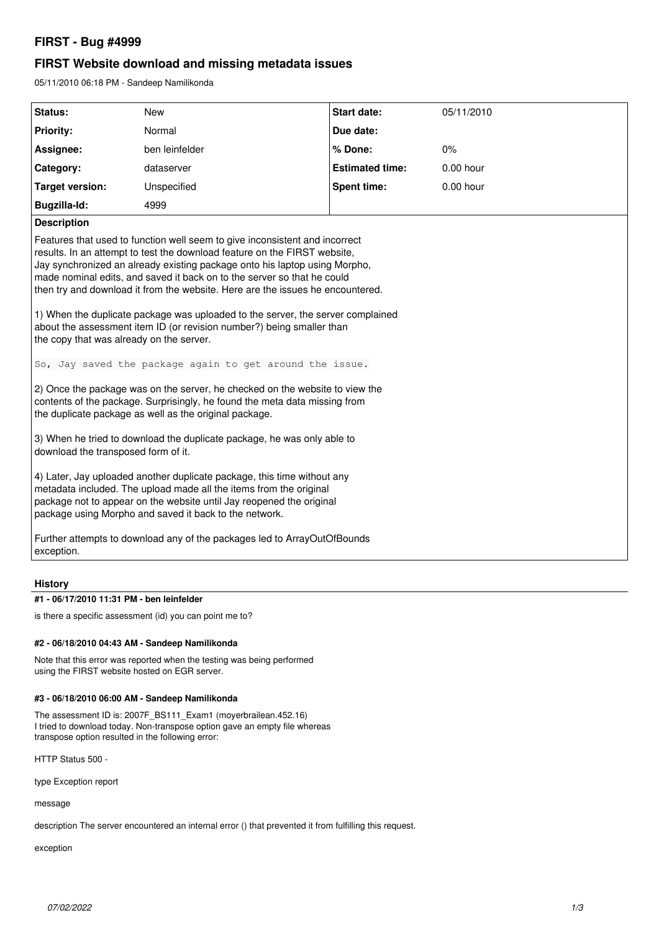# **FIRST - Bug #4999**

## **FIRST Website download and missing metadata issues**

05/11/2010 06:18 PM - Sandeep Namilikonda

| Status:                                                                                                                                                                                                                                                                                                                                                                                                                                                                                                                                                                                                                                                                 | <b>New</b>     | <b>Start date:</b>     | 05/11/2010  |
|-------------------------------------------------------------------------------------------------------------------------------------------------------------------------------------------------------------------------------------------------------------------------------------------------------------------------------------------------------------------------------------------------------------------------------------------------------------------------------------------------------------------------------------------------------------------------------------------------------------------------------------------------------------------------|----------------|------------------------|-------------|
| <b>Priority:</b>                                                                                                                                                                                                                                                                                                                                                                                                                                                                                                                                                                                                                                                        | Normal         | Due date:              |             |
| Assignee:                                                                                                                                                                                                                                                                                                                                                                                                                                                                                                                                                                                                                                                               | ben leinfelder | % Done:                | 0%          |
| Category:                                                                                                                                                                                                                                                                                                                                                                                                                                                                                                                                                                                                                                                               | dataserver     | <b>Estimated time:</b> | $0.00$ hour |
| <b>Target version:</b>                                                                                                                                                                                                                                                                                                                                                                                                                                                                                                                                                                                                                                                  | Unspecified    | <b>Spent time:</b>     | 0.00 hour   |
| Bugzilla-Id:                                                                                                                                                                                                                                                                                                                                                                                                                                                                                                                                                                                                                                                            | 4999           |                        |             |
| <b>Description</b>                                                                                                                                                                                                                                                                                                                                                                                                                                                                                                                                                                                                                                                      |                |                        |             |
| Features that used to function well seem to give inconsistent and incorrect<br>results. In an attempt to test the download feature on the FIRST website,<br>Jay synchronized an already existing package onto his laptop using Morpho,<br>made nominal edits, and saved it back on to the server so that he could<br>then try and download it from the website. Here are the issues he encountered.<br>1) When the duplicate package was uploaded to the server, the server complained<br>about the assessment item ID (or revision number?) being smaller than<br>the copy that was already on the server.<br>So, Jay saved the package again to get around the issue. |                |                        |             |
|                                                                                                                                                                                                                                                                                                                                                                                                                                                                                                                                                                                                                                                                         |                |                        |             |
| 2) Once the package was on the server, he checked on the website to view the<br>contents of the package. Surprisingly, he found the meta data missing from<br>the duplicate package as well as the original package.                                                                                                                                                                                                                                                                                                                                                                                                                                                    |                |                        |             |
| 3) When he tried to download the duplicate package, he was only able to<br>download the transposed form of it.                                                                                                                                                                                                                                                                                                                                                                                                                                                                                                                                                          |                |                        |             |
| 4) Later, Jay uploaded another duplicate package, this time without any<br>metadata included. The upload made all the items from the original<br>package not to appear on the website until Jay reopened the original<br>package using Morpho and saved it back to the network.                                                                                                                                                                                                                                                                                                                                                                                         |                |                        |             |
| Further attempts to download any of the packages led to ArrayOutOfBounds<br>exception.                                                                                                                                                                                                                                                                                                                                                                                                                                                                                                                                                                                  |                |                        |             |

### **History**

### **#1 - 06/17/2010 11:31 PM - ben leinfelder**

is there a specific assessment (id) you can point me to?

#### **#2 - 06/18/2010 04:43 AM - Sandeep Namilikonda**

Note that this error was reported when the testing was being performed using the FIRST website hosted on EGR server.

### **#3 - 06/18/2010 06:00 AM - Sandeep Namilikonda**

The assessment ID is: 2007F\_BS111\_Exam1 (moyerbrailean.452.16) I tried to download today. Non-transpose option gave an empty file whereas transpose option resulted in the following error:

HTTP Status 500 -

type Exception report

message

description The server encountered an internal error () that prevented it from fulfilling this request.

exception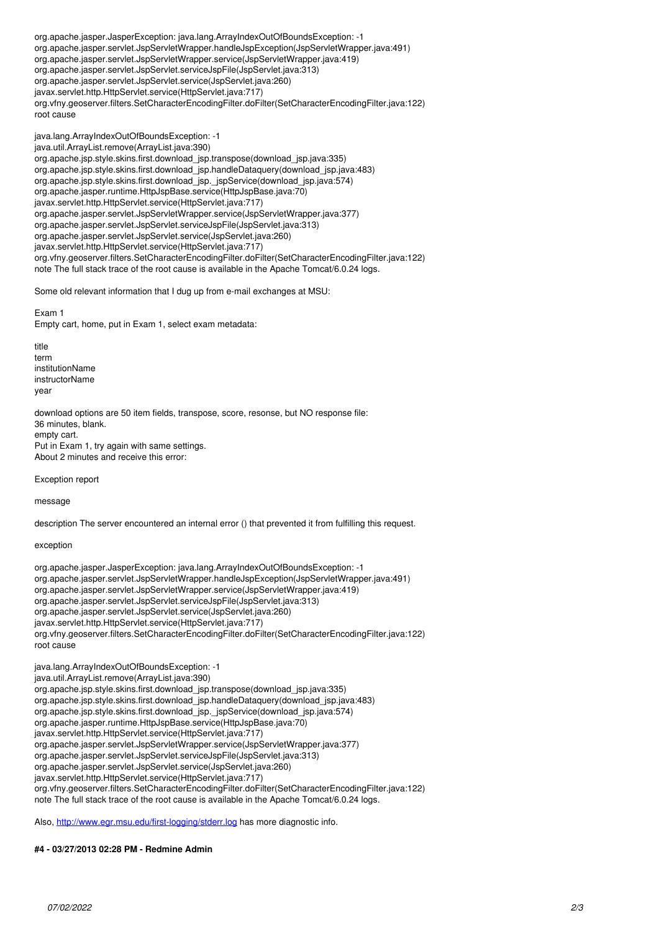org.apache.jasper.JasperException: java.lang.ArrayIndexOutOfBoundsException: -1 org.apache.jasper.servlet.JspServletWrapper.handleJspException(JspServletWrapper.java:491) org.apache.jasper.servlet.JspServletWrapper.service(JspServletWrapper.java:419) org.apache.jasper.servlet.JspServlet.serviceJspFile(JspServlet.java:313) org.apache.jasper.servlet.JspServlet.service(JspServlet.java:260) javax.servlet.http.HttpServlet.service(HttpServlet.java:717) org.vfny.geoserver.filters.SetCharacterEncodingFilter.doFilter(SetCharacterEncodingFilter.java:122) root cause

java.lang.ArrayIndexOutOfBoundsException: -1 java.util.ArrayList.remove(ArrayList.java:390) org.apache.jsp.style.skins.first.download\_jsp.transpose(download\_jsp.java:335) org.apache.jsp.style.skins.first.download\_jsp.handleDataquery(download\_jsp.java:483) org.apache.jsp.style.skins.first.download\_jsp.\_jspService(download\_jsp.java:574) org.apache.jasper.runtime.HttpJspBase.service(HttpJspBase.java:70) javax.servlet.http.HttpServlet.service(HttpServlet.java:717) org.apache.jasper.servlet.JspServletWrapper.service(JspServletWrapper.java:377) org.apache.jasper.servlet.JspServlet.serviceJspFile(JspServlet.java:313) org.apache.jasper.servlet.JspServlet.service(JspServlet.java:260) javax.servlet.http.HttpServlet.service(HttpServlet.java:717) org.vfny.geoserver.filters.SetCharacterEncodingFilter.doFilter(SetCharacterEncodingFilter.java:122) note The full stack trace of the root cause is available in the Apache Tomcat/6.0.24 logs.

Some old relevant information that I dug up from e-mail exchanges at MSU:

Exam 1 Empty cart, home, put in Exam 1, select exam metadata:

title term institutionName instructorName year

download options are 50 item fields, transpose, score, resonse, but NO response file: 36 minutes, blank. empty cart. Put in Exam 1, try again with same settings. About 2 minutes and receive this error:

Exception report

message

description The server encountered an internal error () that prevented it from fulfilling this request.

exception

org.apache.jasper.JasperException: java.lang.ArrayIndexOutOfBoundsException: -1 org.apache.jasper.servlet.JspServletWrapper.handleJspException(JspServletWrapper.java:491) org.apache.jasper.servlet.JspServletWrapper.service(JspServletWrapper.java:419) org.apache.jasper.servlet.JspServlet.serviceJspFile(JspServlet.java:313) org.apache.jasper.servlet.JspServlet.service(JspServlet.java:260) javax.servlet.http.HttpServlet.service(HttpServlet.java:717) org.vfny.geoserver.filters.SetCharacterEncodingFilter.doFilter(SetCharacterEncodingFilter.java:122) root cause

java.lang.ArrayIndexOutOfBoundsException: -1 java.util.ArrayList.remove(ArrayList.java:390) org.apache.jsp.style.skins.first.download\_jsp.transpose(download\_jsp.java:335) org.apache.jsp.style.skins.first.download\_jsp.handleDataquery(download\_jsp.java:483) org.apache.jsp.style.skins.first.download\_jsp.\_jspService(download\_jsp.java:574) org.apache.jasper.runtime.HttpJspBase.service(HttpJspBase.java:70) javax.servlet.http.HttpServlet.service(HttpServlet.java:717) org.apache.jasper.servlet.JspServletWrapper.service(JspServletWrapper.java:377) org.apache.jasper.servlet.JspServlet.serviceJspFile(JspServlet.java:313) org.apache.jasper.servlet.JspServlet.service(JspServlet.java:260) javax.servlet.http.HttpServlet.service(HttpServlet.java:717) org.vfny.geoserver.filters.SetCharacterEncodingFilter.doFilter(SetCharacterEncodingFilter.java:122) note The full stack trace of the root cause is available in the Apache Tomcat/6.0.24 logs.

Also,<http://www.egr.msu.edu/first-logging/stderr.log> has more diagnostic info.

### **#4 - 03/27/2013 02:28 PM - Redmine Admin**